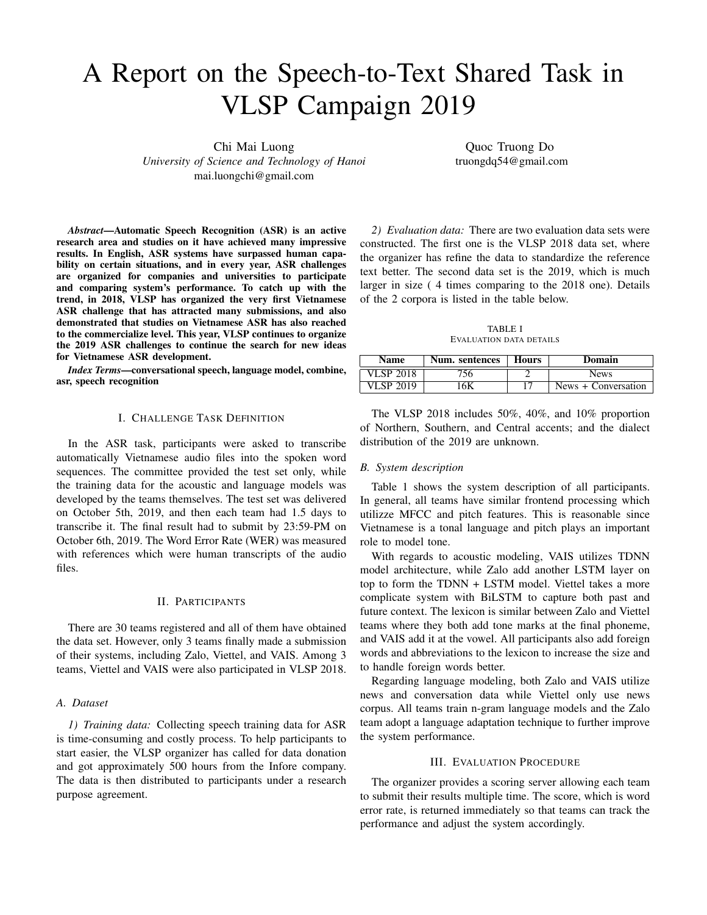# A Report on the Speech-to-Text Shared Task in VLSP Campaign 2019

Chi Mai Luong *University of Science and Technology of Hanoi* mai.luongchi@gmail.com

Quoc Truong Do truongdq54@gmail.com

*Abstract*—Automatic Speech Recognition (ASR) is an active research area and studies on it have achieved many impressive results. In English, ASR systems have surpassed human capability on certain situations, and in every year, ASR challenges are organized for companies and universities to participate and comparing system's performance. To catch up with the trend, in 2018, VLSP has organized the very first Vietnamese ASR challenge that has attracted many submissions, and also demonstrated that studies on Vietnamese ASR has also reached to the commercialize level. This year, VLSP continues to organize the 2019 ASR challenges to continue the search for new ideas for Vietnamese ASR development.

*Index Terms*—conversational speech, language model, combine, asr, speech recognition

## I. CHALLENGE TASK DEFINITION

In the ASR task, participants were asked to transcribe automatically Vietnamese audio files into the spoken word sequences. The committee provided the test set only, while the training data for the acoustic and language models was developed by the teams themselves. The test set was delivered on October 5th, 2019, and then each team had 1.5 days to transcribe it. The final result had to submit by 23:59-PM on October 6th, 2019. The Word Error Rate (WER) was measured with references which were human transcripts of the audio files.

## II. PARTICIPANTS

There are 30 teams registered and all of them have obtained the data set. However, only 3 teams finally made a submission of their systems, including Zalo, Viettel, and VAIS. Among 3 teams, Viettel and VAIS were also participated in VLSP 2018.

## *A. Dataset*

*1) Training data:* Collecting speech training data for ASR is time-consuming and costly process. To help participants to start easier, the VLSP organizer has called for data donation and got approximately 500 hours from the Infore company. The data is then distributed to participants under a research purpose agreement.

*2) Evaluation data:* There are two evaluation data sets were constructed. The first one is the VLSP 2018 data set, where the organizer has refine the data to standardize the reference text better. The second data set is the 2019, which is much larger in size ( 4 times comparing to the 2018 one). Details of the 2 corpora is listed in the table below.

TABLE I EVALUATION DATA DETAILS

| <b>Name</b> | Num. sentences | <b>Hours</b> | Domain              |
|-------------|----------------|--------------|---------------------|
| VLSP 2018   | 756            |              | <b>News</b>         |
| VLSP 2019   | 6K             |              | News + Conversation |

The VLSP 2018 includes 50%, 40%, and 10% proportion of Northern, Southern, and Central accents; and the dialect distribution of the 2019 are unknown.

#### *B. System description*

Table 1 shows the system description of all participants. In general, all teams have similar frontend processing which utilizze MFCC and pitch features. This is reasonable since Vietnamese is a tonal language and pitch plays an important role to model tone.

With regards to acoustic modeling, VAIS utilizes TDNN model architecture, while Zalo add another LSTM layer on top to form the TDNN + LSTM model. Viettel takes a more complicate system with BiLSTM to capture both past and future context. The lexicon is similar between Zalo and Viettel teams where they both add tone marks at the final phoneme, and VAIS add it at the vowel. All participants also add foreign words and abbreviations to the lexicon to increase the size and to handle foreign words better.

Regarding language modeling, both Zalo and VAIS utilize news and conversation data while Viettel only use news corpus. All teams train n-gram language models and the Zalo team adopt a language adaptation technique to further improve the system performance.

## III. EVALUATION PROCEDURE

The organizer provides a scoring server allowing each team to submit their results multiple time. The score, which is word error rate, is returned immediately so that teams can track the performance and adjust the system accordingly.